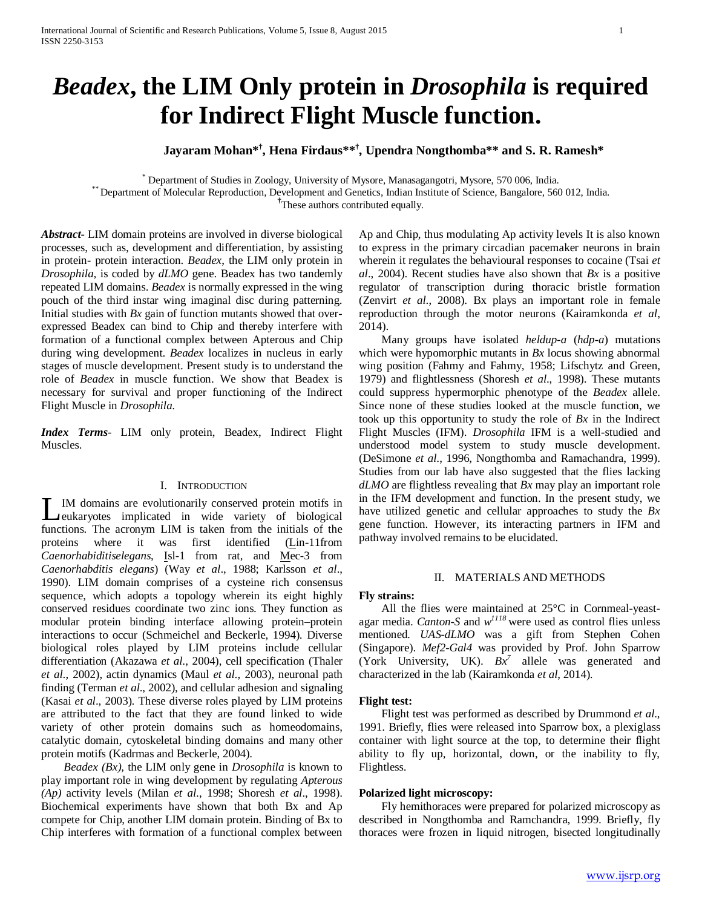# *Beadex***, the LIM Only protein in** *Drosophila* **is required for Indirect Flight Muscle function.**

**Jayaram Mohan\*† , Hena Firdaus\*\*† , Upendra Nongthomba\*\* and S. R. Ramesh\***

\* Department of Studies in Zoology, University of Mysore, Manasagangotri, Mysore, 570 006, India. \*\* Department of Molecular Reproduction, Development and Genetics, Indian Institute of Science, Bangalore, 560 012, India.

**†** These authors contributed equally.

*Abstract***-** LIM domain proteins are involved in diverse biological processes, such as, development and differentiation, by assisting in protein- protein interaction. *Beadex*, the LIM only protein in *Drosophila,* is coded by *dLMO* gene. Beadex has two tandemly repeated LIM domains. *Beadex* is normally expressed in the wing pouch of the third instar wing imaginal disc during patterning. Initial studies with *Bx* gain of function mutants showed that overexpressed Beadex can bind to Chip and thereby interfere with formation of a functional complex between Apterous and Chip during wing development. *Beadex* localizes in nucleus in early stages of muscle development. Present study is to understand the role of *Beadex* in muscle function. We show that Beadex is necessary for survival and proper functioning of the Indirect Flight Muscle in *Drosophila*.

*Index Terms*- LIM only protein, Beadex, Indirect Flight Muscles.

# I. INTRODUCTION

IM domains are evolutionarily conserved protein motifs in eukaryotes implicated in wide variety of biological IM domains are evolutionarily conserved protein motifs in eukaryotes implicated in wide variety of biological functions. The acronym LIM is taken from the initials of the proteins where it was first identified (Lin-11from *Caenorhabiditiselegans*, Isl-1 from rat, and Mec-3 from *Caenorhabditis elegans*) (Way *et al*., 1988; Karlsson *et al*., 1990). LIM domain comprises of a cysteine rich consensus sequence, which adopts a topology wherein its eight highly conserved residues coordinate two zinc ions. They function as modular protein binding interface allowing protein–protein interactions to occur (Schmeichel and Beckerle, 1994). Diverse biological roles played by LIM proteins include cellular differentiation (Akazawa *et al*., 2004), cell specification (Thaler *et al*., 2002), actin dynamics (Maul *et al*., 2003), neuronal path finding (Terman *et al*., 2002), and cellular adhesion and signaling (Kasai *et al*., 2003). These diverse roles played by LIM proteins are attributed to the fact that they are found linked to wide variety of other protein domains such as homeodomains, catalytic domain, cytoskeletal binding domains and many other protein motifs (Kadrmas and Beckerle, 2004).

 *Beadex (Bx),* the LIM only gene in *Drosophila* is known to play important role in wing development by regulating *Apterous (Ap)* activity levels (Milan *et al*., 1998; Shoresh *et al*., 1998). Biochemical experiments have shown that both Bx and Ap compete for Chip, another LIM domain protein. Binding of Bx to Chip interferes with formation of a functional complex between Ap and Chip, thus modulating Ap activity levels It is also known to express in the primary circadian pacemaker neurons in brain wherein it regulates the behavioural responses to cocaine (Tsai *et al*., 2004). Recent studies have also shown that *Bx* is a positive regulator of transcription during thoracic bristle formation (Zenvirt *et al*., 2008). Bx plays an important role in female reproduction through the motor neurons (Kairamkonda *et al*, 2014).

 Many groups have isolated *heldup-a* (*hdp-a*) mutations which were hypomorphic mutants in *Bx* locus showing abnormal wing position (Fahmy and Fahmy, 1958; Lifschytz and Green, 1979) and flightlessness (Shoresh *et al*., 1998). These mutants could suppress hypermorphic phenotype of the *Beadex* allele. Since none of these studies looked at the muscle function, we took up this opportunity to study the role of *Bx* in the Indirect Flight Muscles (IFM). *Drosophila* IFM is a well-studied and understood model system to study muscle development. (DeSimone *et al*., 1996, Nongthomba and Ramachandra, 1999). Studies from our lab have also suggested that the flies lacking *dLMO* are flightless revealing that *Bx* may play an important role in the IFM development and function. In the present study, we have utilized genetic and cellular approaches to study the *Bx* gene function. However, its interacting partners in IFM and pathway involved remains to be elucidated.

## II. MATERIALS AND METHODS

## **Fly strains:**

 All the flies were maintained at 25°C in Cornmeal-yeastagar media. *Canton-S* and *w1118* were used as control flies unless mentioned. *UAS-dLMO* was a gift from Stephen Cohen (Singapore). *Mef2-Gal4* was provided by Prof. John Sparrow (York University, UK).  $Bx^7$  allele was generated and characterized in the lab (Kairamkonda *et al*, 2014).

#### **Flight test:**

 Flight test was performed as described by Drummond *et al*., 1991. Briefly, flies were released into Sparrow box, a plexiglass container with light source at the top, to determine their flight ability to fly up, horizontal, down, or the inability to fly, Flightless.

# **Polarized light microscopy:**

 Fly hemithoraces were prepared for polarized microscopy as described in Nongthomba and Ramchandra, 1999. Briefly, fly thoraces were frozen in liquid nitrogen, bisected longitudinally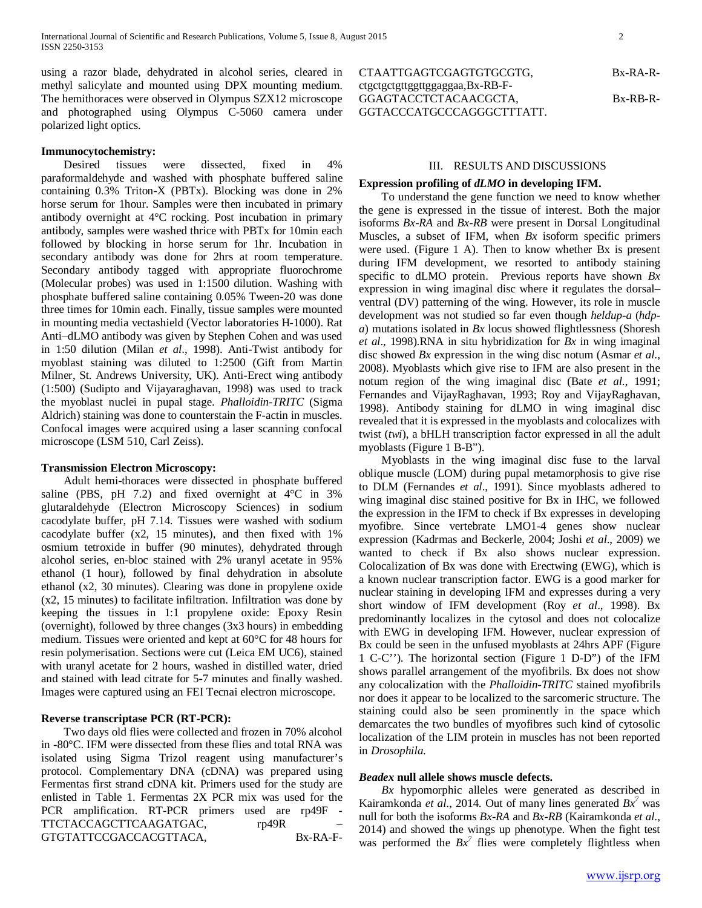using a razor blade, dehydrated in alcohol series, cleared in methyl salicylate and mounted using DPX mounting medium. The hemithoraces were observed in Olympus SZX12 microscope and photographed using Olympus C-5060 camera under polarized light optics.

# **Immunocytochemistry:**

 Desired tissues were dissected, fixed in 4% paraformaldehyde and washed with phosphate buffered saline containing 0.3% Triton-X (PBTx). Blocking was done in 2% horse serum for 1hour. Samples were then incubated in primary antibody overnight at 4°C rocking. Post incubation in primary antibody, samples were washed thrice with PBTx for 10min each followed by blocking in horse serum for 1hr. Incubation in secondary antibody was done for 2hrs at room temperature. Secondary antibody tagged with appropriate fluorochrome (Molecular probes) was used in 1:1500 dilution. Washing with phosphate buffered saline containing 0.05% Tween-20 was done three times for 10min each. Finally, tissue samples were mounted in mounting media vectashield (Vector laboratories H-1000). Rat Anti–dLMO antibody was given by Stephen Cohen and was used in 1:50 dilution (Milan *et al*., 1998). Anti-Twist antibody for myoblast staining was diluted to 1:2500 (Gift from Martin Milner, St. Andrews University, UK). Anti-Erect wing antibody (1:500) (Sudipto and Vijayaraghavan, 1998) was used to track the myoblast nuclei in pupal stage. *Phalloidin*-*TRITC* (Sigma Aldrich) staining was done to counterstain the F-actin in muscles. Confocal images were acquired using a laser scanning confocal microscope (LSM 510, Carl Zeiss).

## **Transmission Electron Microscopy:**

 Adult hemi-thoraces were dissected in phosphate buffered saline (PBS, pH 7.2) and fixed overnight at 4°C in 3% glutaraldehyde (Electron Microscopy Sciences) in sodium cacodylate buffer, pH 7.14. Tissues were washed with sodium cacodylate buffer (x2, 15 minutes), and then fixed with 1% osmium tetroxide in buffer (90 minutes), dehydrated through alcohol series, en-bloc stained with 2% uranyl acetate in 95% ethanol (1 hour), followed by final dehydration in absolute ethanol (x2, 30 minutes). Clearing was done in propylene oxide (x2, 15 minutes) to facilitate infiltration. Infiltration was done by keeping the tissues in 1:1 propylene oxide: Epoxy Resin (overnight), followed by three changes (3x3 hours) in embedding medium. Tissues were oriented and kept at 60°C for 48 hours for resin polymerisation. Sections were cut (Leica EM UC6), stained with uranyl acetate for 2 hours, washed in distilled water, dried and stained with lead citrate for 5-7 minutes and finally washed. Images were captured using an FEI Tecnai electron microscope.

# **Reverse transcriptase PCR (RT-PCR):**

 Two days old flies were collected and frozen in 70% alcohol in -80°C. IFM were dissected from these flies and total RNA was isolated using Sigma Trizol reagent using manufacturer's protocol. Complementary DNA (cDNA) was prepared using Fermentas first strand cDNA kit. Primers used for the study are enlisted in Table 1. Fermentas 2X PCR mix was used for the PCR amplification. RT-PCR primers used are rp49F - TTCTACCAGCTTCAAGATGAC, rp49R GTGTATTCCGACCACGTTACA, Bx-RA-F-

#### III. RESULTS AND DISCUSSIONS

# **Expression profiling of** *dLMO* **in developing IFM.**

 To understand the gene function we need to know whether the gene is expressed in the tissue of interest. Both the major isoforms *Bx-RA* and *Bx-RB* were present in Dorsal Longitudinal Muscles, a subset of IFM, when *Bx* isoform specific primers were used. (Figure 1 A). Then to know whether Bx is present during IFM development, we resorted to antibody staining specific to dLMO protein. Previous reports have shown *Bx* expression in wing imaginal disc where it regulates the dorsal– ventral (DV) patterning of the wing. However, its role in muscle development was not studied so far even though *heldup-a* (*hdpa*) mutations isolated in *Bx* locus showed flightlessness (Shoresh *et al*., 1998).RNA in situ hybridization for *Bx* in wing imaginal disc showed *Bx* expression in the wing disc notum (Asmar *et al*., 2008). Myoblasts which give rise to IFM are also present in the notum region of the wing imaginal disc (Bate *et al*., 1991; Fernandes and VijayRaghavan, 1993; Roy and VijayRaghavan, 1998). Antibody staining for dLMO in wing imaginal disc revealed that it is expressed in the myoblasts and colocalizes with twist (*twi*), a bHLH transcription factor expressed in all the adult myoblasts (Figure 1 B-B").

 Myoblasts in the wing imaginal disc fuse to the larval oblique muscle (LOM) during pupal metamorphosis to give rise to DLM (Fernandes *et al*., 1991). Since myoblasts adhered to wing imaginal disc stained positive for Bx in IHC, we followed the expression in the IFM to check if Bx expresses in developing myofibre. Since vertebrate LMO1-4 genes show nuclear expression (Kadrmas and Beckerle, 2004; Joshi *et al*., 2009) we wanted to check if Bx also shows nuclear expression. Colocalization of Bx was done with Erectwing (EWG), which is a known nuclear transcription factor. EWG is a good marker for nuclear staining in developing IFM and expresses during a very short window of IFM development (Roy *et al*., 1998). Bx predominantly localizes in the cytosol and does not colocalize with EWG in developing IFM. However, nuclear expression of Bx could be seen in the unfused myoblasts at 24hrs APF (Figure 1 C-C''). The horizontal section (Figure 1 D-D") of the IFM shows parallel arrangement of the myofibrils. Bx does not show any colocalization with the *Phalloidin-TRITC* stained myofibrils nor does it appear to be localized to the sarcomeric structure. The staining could also be seen prominently in the space which demarcates the two bundles of myofibres such kind of cytosolic localization of the LIM protein in muscles has not been reported in *Drosophila*.

# *Beadex* **null allele shows muscle defects.**

 *Bx* hypomorphic alleles were generated as described in Kairamkonda *et al*., 2014. Out of many lines generated *Bx7* was null for both the isoforms *Bx-RA* and *Bx-RB* (Kairamkonda *et al*., 2014) and showed the wings up phenotype. When the fight test was performed the  $Bx^7$  flies were completely flightless when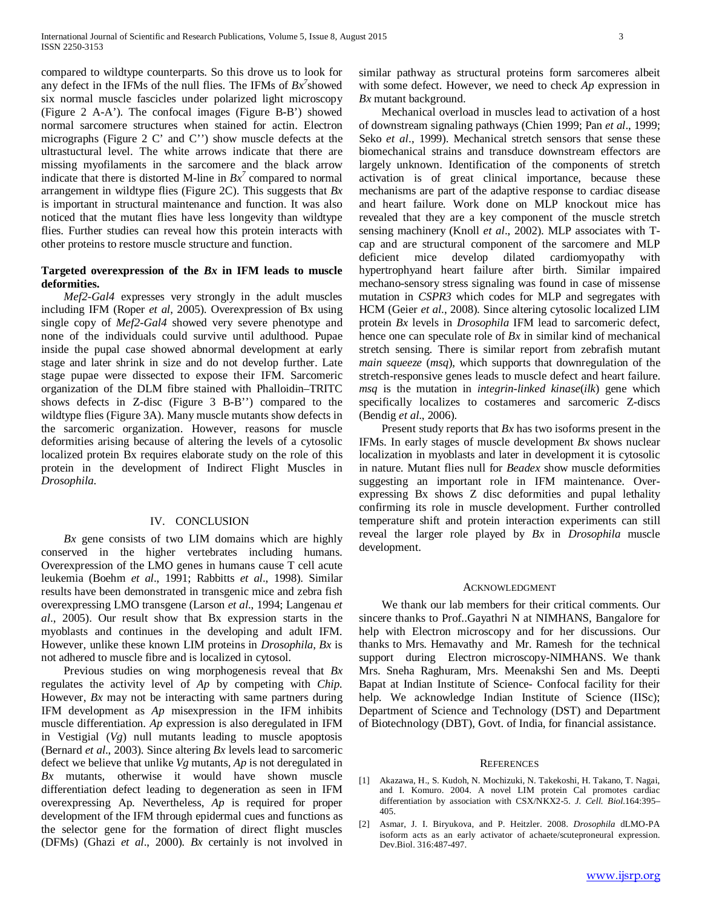compared to wildtype counterparts. So this drove us to look for any defect in the IFMs of the null flies. The IFMs of *Bx7* showed six normal muscle fascicles under polarized light microscopy (Figure 2 A-A'). The confocal images (Figure B-B') showed normal sarcomere structures when stained for actin. Electron micrographs (Figure 2 C' and C'') show muscle defects at the ultrastuctural level. The white arrows indicate that there are missing myofilaments in the sarcomere and the black arrow indicate that there is distorted M-line in  $Bx^7$  compared to normal arrangement in wildtype flies (Figure 2C). This suggests that *Bx* is important in structural maintenance and function. It was also noticed that the mutant flies have less longevity than wildtype flies. Further studies can reveal how this protein interacts with other proteins to restore muscle structure and function.

# **Targeted overexpression of the** *Bx* **in IFM leads to muscle deformities.**

 *Mef2-Gal4* expresses very strongly in the adult muscles including IFM (Roper *et al*, 2005). Overexpression of Bx using single copy of *Mef2-Gal4* showed very severe phenotype and none of the individuals could survive until adulthood. Pupae inside the pupal case showed abnormal development at early stage and later shrink in size and do not develop further. Late stage pupae were dissected to expose their IFM. Sarcomeric organization of the DLM fibre stained with Phalloidin–TRITC shows defects in Z-disc (Figure 3 B-B'') compared to the wildtype flies (Figure 3A). Many muscle mutants show defects in the sarcomeric organization. However, reasons for muscle deformities arising because of altering the levels of a cytosolic localized protein Bx requires elaborate study on the role of this protein in the development of Indirect Flight Muscles in *Drosophila*.

# IV. CONCLUSION

 *Bx* gene consists of two LIM domains which are highly conserved in the higher vertebrates including humans. Overexpression of the LMO genes in humans cause T cell acute leukemia (Boehm *et al*., 1991; Rabbitts *et al*., 1998). Similar results have been demonstrated in transgenic mice and zebra fish overexpressing LMO transgene (Larson *et al*., 1994; Langenau *et al*., 2005). Our result show that Bx expression starts in the myoblasts and continues in the developing and adult IFM. However, unlike these known LIM proteins in *Drosophila*, *Bx* is not adhered to muscle fibre and is localized in cytosol.

 Previous studies on wing morphogenesis reveal that *Bx* regulates the activity level of *Ap* by competing with *Chip*. However, *Bx* may not be interacting with same partners during IFM development as *Ap* misexpression in the IFM inhibits muscle differentiation. *Ap* expression is also deregulated in IFM in Vestigial (*Vg*) null mutants leading to muscle apoptosis (Bernard *et al*., 2003). Since altering *Bx* levels lead to sarcomeric defect we believe that unlike *Vg* mutants, *Ap* is not deregulated in *Bx* mutants, otherwise it would have shown muscle differentiation defect leading to degeneration as seen in IFM overexpressing Ap. Nevertheless, *Ap* is required for proper development of the IFM through epidermal cues and functions as the selector gene for the formation of direct flight muscles (DFMs) (Ghazi *et al*., 2000). *Bx* certainly is not involved in similar pathway as structural proteins form sarcomeres albeit with some defect. However, we need to check *Ap* expression in *Bx* mutant background.

 Mechanical overload in muscles lead to activation of a host of downstream signaling pathways (Chien 1999; Pan *et al*., 1999; Seko *et al*., 1999). Mechanical stretch sensors that sense these biomechanical strains and transduce downstream effectors are largely unknown. Identification of the components of stretch activation is of great clinical importance, because these mechanisms are part of the adaptive response to cardiac disease and heart failure. Work done on MLP knockout mice has revealed that they are a key component of the muscle stretch sensing machinery (Knoll *et al*., 2002). MLP associates with Tcap and are structural component of the sarcomere and MLP deficient mice develop dilated cardiomyopathy with hypertrophyand heart failure after birth. Similar impaired mechano-sensory stress signaling was found in case of missense mutation in *CSPR3* which codes for MLP and segregates with HCM (Geier *et al*., 2008). Since altering cytosolic localized LIM protein *Bx* levels in *Drosophila* IFM lead to sarcomeric defect, hence one can speculate role of *Bx* in similar kind of mechanical stretch sensing. There is similar report from zebrafish mutant *main squeeze* (*msq*), which supports that downregulation of the stretch-responsive genes leads to muscle defect and heart failure. *msq* is the mutation in *integrin-linked kinase*(*ilk*) gene which specifically localizes to costameres and sarcomeric Z-discs (Bendig *et al*., 2006).

 Present study reports that *Bx* has two isoforms present in the IFMs. In early stages of muscle development *Bx* shows nuclear localization in myoblasts and later in development it is cytosolic in nature. Mutant flies null for *Beadex* show muscle deformities suggesting an important role in IFM maintenance. Overexpressing Bx shows Z disc deformities and pupal lethality confirming its role in muscle development. Further controlled temperature shift and protein interaction experiments can still reveal the larger role played by *Bx* in *Drosophila* muscle development.

## ACKNOWLEDGMENT

 We thank our lab members for their critical comments. Our sincere thanks to Prof..Gayathri N at NIMHANS, Bangalore for help with Electron microscopy and for her discussions. Our thanks to Mrs. Hemavathy and Mr. Ramesh for the technical support during Electron microscopy-NIMHANS. We thank Mrs. Sneha Raghuram, Mrs. Meenakshi Sen and Ms. Deepti Bapat at Indian Institute of Science- Confocal facility for their help. We acknowledge Indian Institute of Science (IISc); Department of Science and Technology (DST) and Department of Biotechnology (DBT), Govt. of India, for financial assistance.

### **REFERENCES**

- [1] Akazawa, H., S. Kudoh, N. Mochizuki, N. Takekoshi, H. Takano, T. Nagai, and I. Komuro. 2004. A novel LIM protein Cal promotes cardiac differentiation by association with CSX/NKX2-5. *J. Cell. Biol.*164:395– 405.
- [2] Asmar, J. I. Biryukova, and P. Heitzler. 2008. *Drosophila* dLMO-PA isoform acts as an early activator of achaete/scuteproneural expression. Dev.Biol. 316:487-497.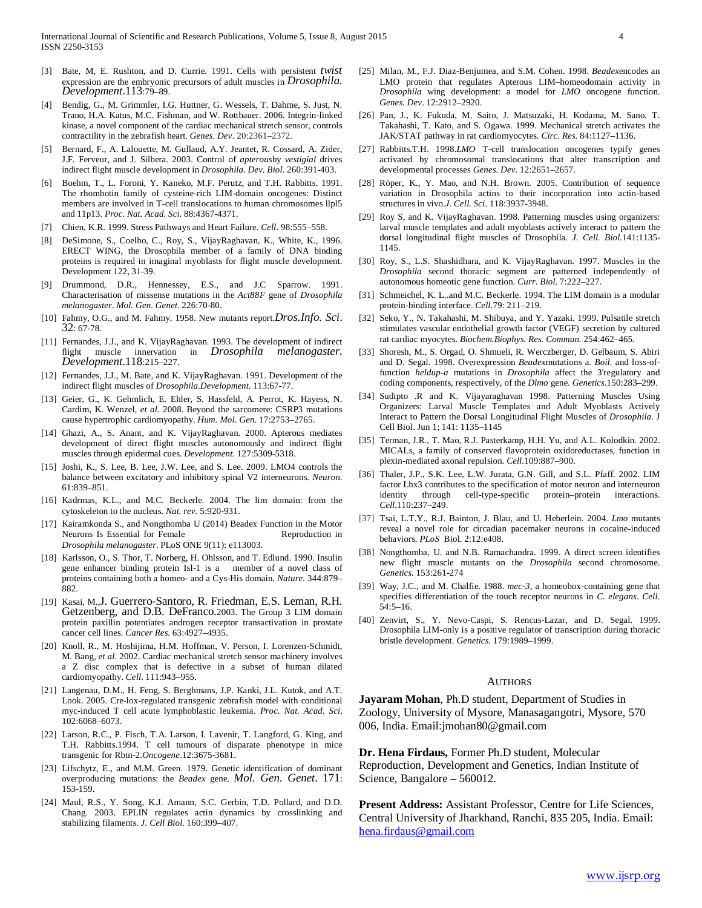- [3] Bate, M, E. Rushton, and D. Currie. 1991. Cells with persistent *twist* expression are the embryonic precursors of adult muscles in *Drosophila. Development*.113:79–89.
- [4] Bendig, G., M. Grimmler, I.G. Huttner, G. Wessels, T. Dahme, S. Just, N. Trano, H.A. Katus, M.C. Fishman, and W. Rottbauer. 2006. Integrin-linked kinase, a novel component of the cardiac mechanical stretch sensor, controls contractility in the zebrafish heart. *Genes. Dev*. 20:2361–2372.
- [5] Bernard, F., A. Lalouette, M. Gullaud, A.Y. Jeantet, R. Cossard, A. Zider, J.F. Ferveur, and J. Silbera. 2003. Control of *apterous*by *vestigial* drives indirect flight muscle development in *Drosophila*. *Dev. Biol.* 260:391-403.
- [6] Boehm, T., L. Foroni, Y. Kaneko, M.F. Perutz, and T.H. Rabbitts. 1991. The rhombotin family of cysteine-rich LIM-domain oncogenes: Distinct members are involved in T-cell translocations to human chromosomes llpl5 and 11p13. *Proc. Nat. Acad. Sci.* 88:4367-4371.
- [7] Chien, K.R. 1999. Stress Pathways and Heart Failure. *Cell*. 98:555–558.
- [8] DeSimone, S., Coelho, C., Roy, S., VijayRaghavan, K., White, K., 1996. ERECT WING, the Drosophila member of a family of DNA binding proteins is required in imaginal myoblasts for flight muscle development. Development 122, 31-39.
- [9] Drummond, D.R., Hennessey, E.S., and J.C Sparrow. 1991. Characterisation of missense mutations in the *Act88F* gene of *Drosophila melanogaster*. *Mol. Gen. Genet*. 226:70-80.
- [10] Fahmy, O.G., and M. Fahmy. 1958. New mutants report.*Dros.Info. Sci*. 32: 67-78.
- [11] Fernandes, J.J., and K. VijayRaghavan. 1993. The development of indirect flight muscle innervation in *Drosophila melanogaster. Development*.118:215–227.
- [12] Fernandes, J.J., M. Bate, and K. VijayRaghavan. 1991. Development of the indirect flight muscles of *Drosophila.Development*. 113:67-77.
- [13] Geier, G., K. Gehmlich, E. Ehler, S. Hassfeld, A. Perrot, K. Hayess, N. Cardim, K. Wenzel, *et al*. 2008. Beyond the sarcomere: CSRP3 mutations cause hypertrophic cardiomyopathy. *Hum. Mol. Gen.* 17:2753–2765.
- [14] Ghazi, A., S. Anant, and K. VijayRaghavan. 2000. Apterous mediates development of direct flight muscles autonomously and indirect flight muscles through epidermal cues. *Development.* 127:5309-5318.
- [15] Joshi, K., S. Lee, B. Lee, J.W. Lee, and S. Lee. 2009. LMO4 controls the balance between excitatory and inhibitory spinal V2 interneurons. *Neuron.* 61:839–851.
- [16] Kadrmas, K.L., and M.C. Beckerle. 2004. The lim domain: from the cytoskeleton to the nucleus. *Nat. rev*. 5:920-931.
- [17] Kairamkonda S., and Nongthomba U (2014) Beadex Function in the Motor Neurons Is Essential for Female Reproduction in *Drosophila melanogaster*. PLoS ONE 9(11): e113003.
- [18] Karlsson, O., S. Thor, T. Norberg, H. Ohlsson, and T. Edlund. 1990. Insulin gene enhancer binding protein Isl-1 is a member of a novel class of proteins containing both a homeo- and a Cys-His domain. *Nature.* 344:879– 882.
- [19] Kasai, M.,J. Guerrero-Santoro, R. Friedman, E.S. Leman, R.H. Getzenberg, and D.B. DeFranco.2003. The Group 3 LIM domain protein paxillin potentiates androgen receptor transactivation in prostate cancer cell lines. *Cancer Res.* 63:4927–4935.
- [20] Knoll, R., M. Hoshijima, H.M. Hoffman, V. Person, I. Lorenzen-Schmidt, M. Bang, *et al*. 2002. Cardiac mechanical stretch sensor machinery involves a Z disc complex that is defective in a subset of human dilated cardiomyopathy. *Cell*. 111:943–955.
- [21] Langenau, D.M., H. Feng, S. Berghmans, J.P. Kanki, J.L. Kutok, and A.T. Look. 2005. Cre-lox-regulated transgenic zebrafish model with conditional myc-induced T cell acute lymphoblastic leukemia. *Proc. Nat. Acad. Sci*. 102:6068–6073.
- [22] Larson, R.C., P. Fisch, T.A. Larson, I. Lavenir, T. Langford, G. King, and T.H. Rabbitts.1994. T cell tumours of disparate phenotype in mice transgenic for Rbtn-2.*Oncogene*.12:3675-3681.
- [23] Lifschytz, E., and M.M. Green. 1979. Genetic identification of dominant overproducing mutations: the *Beadex* gene. *Mol. Gen. Genet*. 171: 153-159.
- [24] Maul, R.S., Y. Song, K.J. Amann, S.C. Gerbin, T.D. Pollard, and D.D. Chang. 2003. EPLIN regulates actin dynamics by crosslinking and stabilizing filaments. *J. Cell Biol.* 160:399–407.
- [25] Milan, M., F.J. Diaz-Benjumea, and S.M. Cohen. 1998. *Beadex*encodes an LMO protein that regulates Apterous LIM–homeodomain activity in *Drosophila* wing development: a model for *LMO* oncogene function. *Genes. Dev*. 12:2912–2920.
- [26] Pan, J., K. Fukuda, M. Saito, J. Matsuzaki, H. Kodama, M. Sano, T. Takahashi, T. Kato, and S. Ogawa. 1999. Mechanical stretch activates the JAK/STAT pathway in rat cardiomyocytes. *Circ. Res.* 84:1127–1136.
- [27] Rabbitts.T.H. 1998.*LMO* T-cell translocation oncogenes typify genes activated by chromosomal translocations that alter transcription and developmental processes *Genes. Dev.* 12:2651–2657.
- [28] Röper, K., Y. Mao, and N.H. Brown. 2005. Contribution of sequence variation in Drosophila actins to their incorporation into actin-based structures in vivo.*J. Cell. Sci*. 118:3937-3948.
- [29] Roy S, and K. VijayRaghavan. 1998. Patterning muscles using organizers: larval muscle templates and adult myoblasts actively interact to pattern the dorsal longitudinal flight muscles of Drosophila. *J. Cell. Biol.*141:1135- 1145.
- [30] Roy, S., L.S. Shashidhara, and K. VijayRaghavan. 1997. Muscles in the *Drosophila* second thoracic segment are patterned independently of autonomous homeotic gene function. *Curr. Biol*. 7:222–227.
- [31] Schmeichel, K. L..and M.C. Beckerle. 1994. The LIM domain is a modular protein-binding interface. *Cell.*79: 211–219.
- [32] Seko, Y., N. Takahashi, M. Shibuya, and Y. Yazaki. 1999. Pulsatile stretch stimulates vascular endothelial growth factor (VEGF) secretion by cultured rat cardiac myocytes. *Biochem.Biophys. Res. Commun.* 254:462–465.
- [33] Shoresh, M., S. Orgad, O. Shmueli, R. Werczberger, D. Gelbaum, S. Abiri and D. Segal. 1998. Overexpression *Beadex*mutations a*. Boil*. and loss-offunction *heldup-a* mutations in *Drosophila* affect the 3'regulatory and coding components, respectively, of the *Dlmo* gene. *Genetics.*150:283–299.
- [34] Sudipto .R and K. Vijayaraghavan 1998. Patterning Muscles Using Organizers: Larval Muscle Templates and Adult Myoblasts Actively Interact to Pattern the Dorsal Longitudinal Flight Muscles of *Drosophila.* J Cell Biol. Jun 1; 141: 1135–1145
- [35] Terman, J.R., T. Mao, R.J. Pasterkamp, H.H. Yu, and A.L. Kolodkin. 2002. MICALs, a family of conserved flavoprotein oxidoreductases, function in plexin-mediated axonal repulsion. *Cell.*109:887–900.
- [36] Thaler, J.P., S.K. Lee, L.W. Jurata, G.N. Gill, and S.L. Pfaff. 2002. LIM factor Lhx3 contributes to the specification of motor neuron and interneuron identity through cell-type-specific protein–protein interactions. *Cell*.110:237–249.
- [37] Tsai, L.T.Y., R.J. Bainton, J. Blau, and U. Heberlein. 2004. *Lmo* mutants reveal a novel role for circadian pacemaker neurons in cocaine-induced behaviors. *PLoS* Biol. 2:12:e408.
- [38] Nongthomba, U. and N.B. Ramachandra. 1999. A direct screen identifies new flight muscle mutants on the *Drosophila* second chromosome. *Genetics.* 153:261-274
- [39] Way, J.C., and M. Chalfie. 1988. *mec-3*, a homeobox-containing gene that specifies differentiation of the touch receptor neurons in *C. elegans*. *Cell*. 54:5–16.
- [40] Zenvirt, S., Y. Nevo-Caspi, S. Rencus-Lazar, and D. Segal. 1999. Drosophila LIM-only is a positive regulator of transcription during thoracic bristle development. *Genetics.* 179:1989–1999.

#### **AUTHORS**

**Jayaram Mohan**, Ph.D student, Department of Studies in Zoology, University of Mysore, Manasagangotri, Mysore, 570 006, India. Email:jmohan80@gmail.com

**Dr. Hena Firdaus,** Former Ph.D student, Molecular

Reproduction, Development and Genetics, Indian Institute of Science, Bangalore – 560012.

**Present Address:** Assistant Professor, Centre for Life Sciences, Central University of Jharkhand, Ranchi, 835 205, India. Email: [hena.firdaus@gmail.com](mailto:hena.firdaus@gmail.com)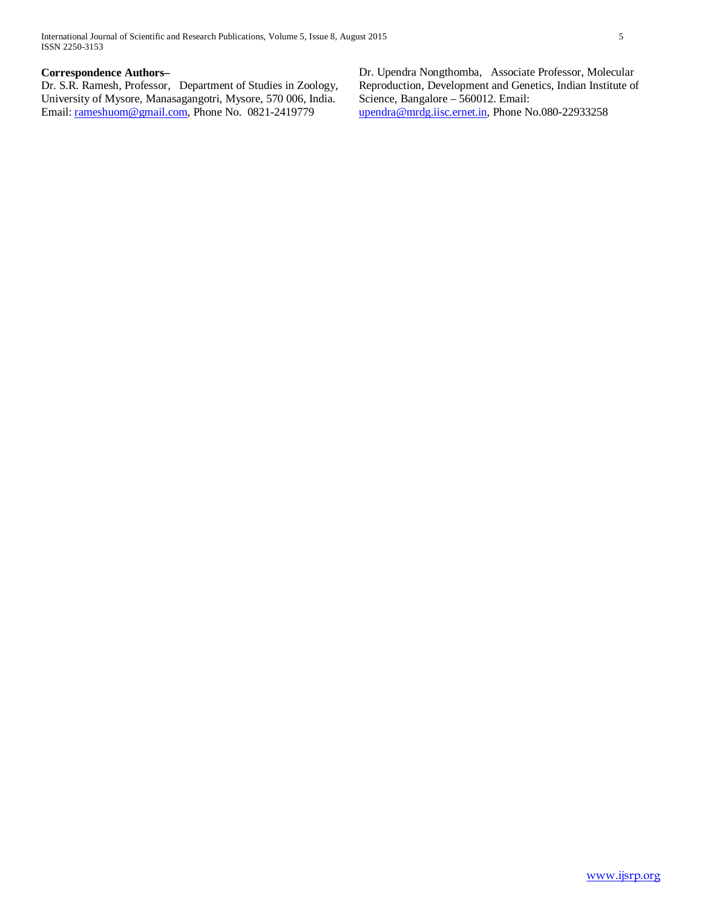# **Correspondence Authors–**

Dr. S.R. Ramesh, Professor, Department of Studies in Zoology, University of Mysore, Manasagangotri, Mysore, 570 006, India. Email: [rameshuom@gmail.com,](mailto:rameshuom@gmail.com) Phone No. 0821-2419779

Dr. Upendra Nongthomba, Associate Professor, Molecular Reproduction, Development and Genetics, Indian Institute of Science, Bangalore – 560012. Email: [upendra@mrdg.iisc.ernet.in,](mailto:upendra@mrdg.iisc.ernet.in) Phone No.080-22933258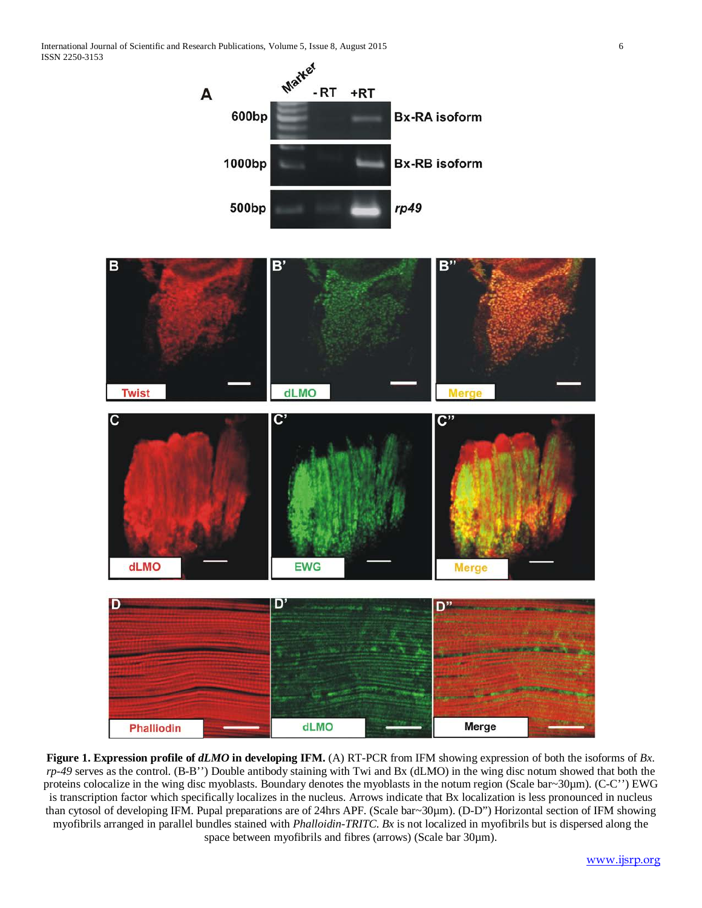International Journal of Scientific and Research Publications, Volume 5, Issue 8, August 2015 6 ISSN 2250-3153



**Figure 1. Expression profile of** *dLMO* **in developing IFM.** (A) RT-PCR from IFM showing expression of both the isoforms of *Bx*. *rp-49* serves as the control. (B-B'') Double antibody staining with Twi and Bx (dLMO) in the wing disc notum showed that both the proteins colocalize in the wing disc myoblasts. Boundary denotes the myoblasts in the notum region (Scale bar~30µm). (C-C'') EWG is transcription factor which specifically localizes in the nucleus. Arrows indicate that Bx localization is less pronounced in nucleus than cytosol of developing IFM. Pupal preparations are of 24hrs APF. (Scale bar~30µm). (D-D") Horizontal section of IFM showing myofibrils arranged in parallel bundles stained with *Phalloidin-TRITC*. *Bx* is not localized in myofibrils but is dispersed along the space between myofibrils and fibres (arrows) (Scale bar 30 $\mu$ m).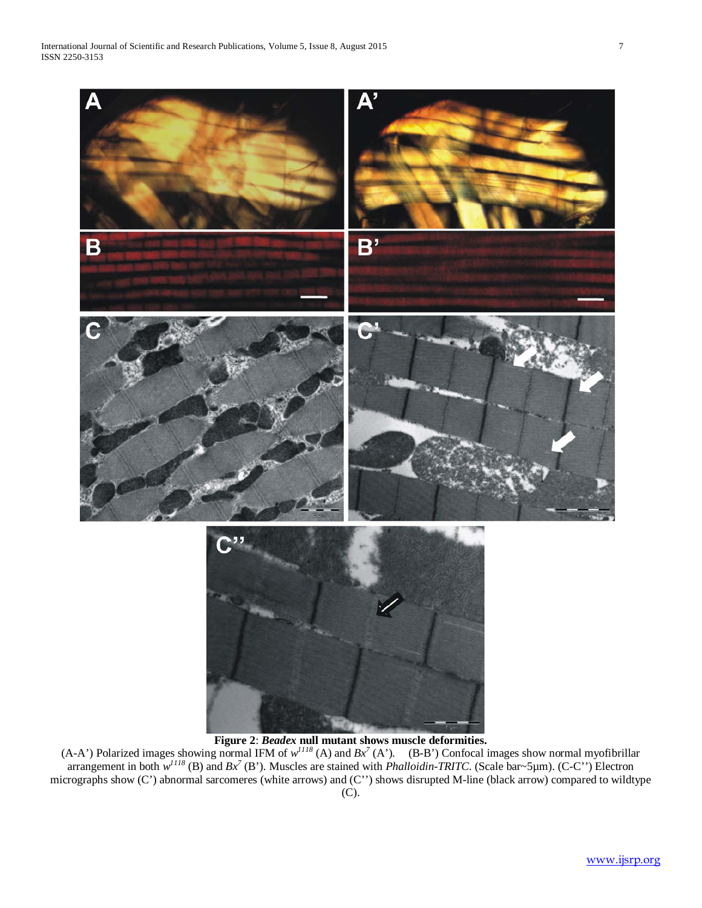

(A-A') Polarized images showing normal IFM of  $w^{1118}(A)$  and  $Bx^7(A')$ . (B-B') Confocal images show normal myofibrillar arrangement in both  $w^{II18}$  (B) and  $Bx^7$  (B'). Muscles are stained with *Phalloidin-TRITC*. (Scale bar~5µm). (C-C'') Electron micrographs show (C') abnormal sarcomeres (white arrows) and (C'') shows disrupted M-line (black arrow) compared to wildtype (C).